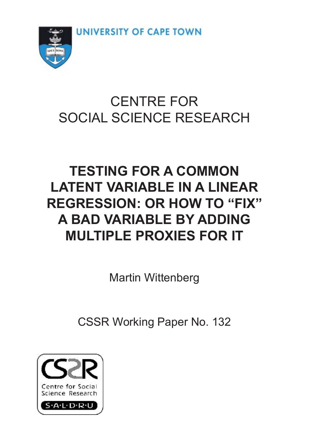UNIVERSITY OF CAPE TOWN



# CENTRE FOR SOCIAL SCIENCE RESEARCH

# **TESTING FOR A COMMON LATENT VARIABLE IN A LINEAR REGRESSION: OR HOW TO "FIX" A BAD VARIABLE BY ADDING MULTIPLE PROXIES FOR IT**

Martin Wittenberg

CSSR Working Paper No. 132

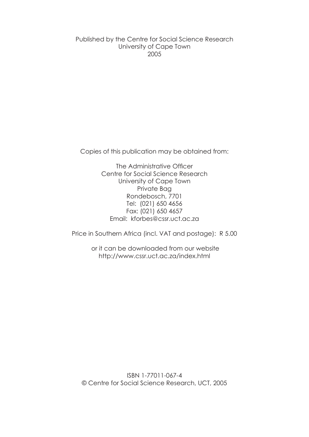Published by the Centre for Social Science Research University of Cape Town 2005

Copies of this publication may be obtained from:

The Administrative Officer Centre for Social Science Research University of Cape Town Private Bag Rondebosch, 7701 Tel: (021) 650 4656 Fax: (021) 650 4657 Email: kforbes@cssr.uct.ac.za

Price in Southern Africa (incl. VAT and postage): R 5.00

 or it can be downloaded from our website http://www.cssr.uct.ac.za/index.html

ISBN 1-77011-067-4 © Centre for Social Science Research, UCT, 2005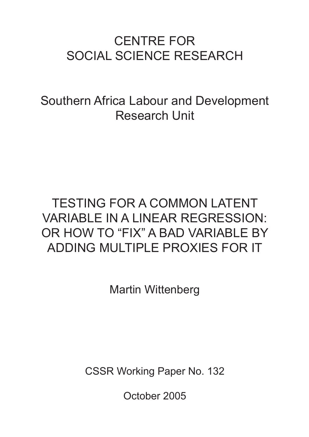# CENTRE FOR SOCIAL SCIENCE RESEARCH

Southern Africa Labour and Development Research Unit

# TESTING FOR A COMMON LATENT VARIABLE IN A LINEAR REGRESSION: OR HOW TO "FIX" A BAD VARIABLE BY ADDING MULTIPLE PROXIES FOR IT

Martin Wittenberg

CSSR Working Paper No. 132

October 2005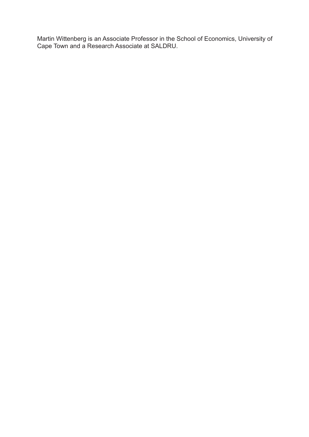Martin Wittenberg is an Associate Professor in the School of Economics, University of Cape Town and a Research Associate at SALDRU.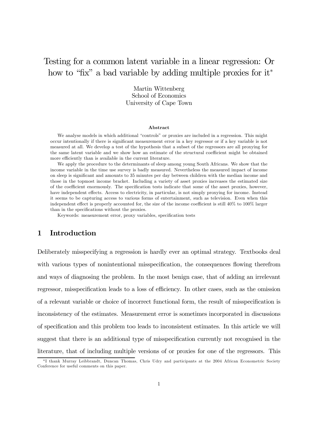# Testing for a common latent variable in a linear regression: Or how to "fix" a bad variable by adding multiple proxies for it<sup>\*</sup>

Martin Wittenberg School of Economics University of Cape Town

#### Abstract

We analyse models in which additional "controls" or proxies are included in a regression. This might occur intentionally if there is significant measurement error in a key regressor or if a key variable is not measured at all. We develop a test of the hypothesis that a subset of the regressors are all proxying for the same latent variable and we show how an estimate of the structural coefficient might be obtained more efficiently than is available in the current literature.

We apply the procedure to the determinants of sleep among young South Africans. We show that the income variable in the time use survey is badly measured. Nevertheless the measured impact of income on sleep is significant and amounts to 35 minutes per day between children with the median income and those in the topmost income bracket. Including a variety of asset proxies increases the estimated size of the coefficient enormously. The specification tests indicate that some of the asset proxies, however, have independent effects. Access to electricity, in particular, is not simply proxying for income. Instead it seems to be capturing access to various forms of entertainment, such as television. Even when this independent effect is properly accounted for, the size of the income coefficient is still 40% to 100% larger than in the specifications without the proxies.

Keywords: measurement error, proxy variables, specification tests

#### 1 Introduction

Deliberately misspecifying a regression is hardly ever an optimal strategy. Textbooks deal with various types of nonintentional misspecification, the consequences flowing therefrom and ways of diagnosing the problem. In the most benign case, that of adding an irrelevant regressor, misspecification leads to a loss of efficiency. In other cases, such as the omission of a relevant variable or choice of incorrect functional form, the result of misspecification is inconsistency of the estimates. Measurement error is sometimes incorporated in discussions of specification and this problem too leads to inconsistent estimates. In this article we will suggest that there is an additional type of misspecification currently not recognised in the literature, that of including multiple versions of or proxies for one of the regressors. This

<sup>∗</sup>I thank Murray Leibbrandt, Duncan Thomas, Chris Udry and participants at the 2004 African Econometric Society Conference for useful comments on this paper.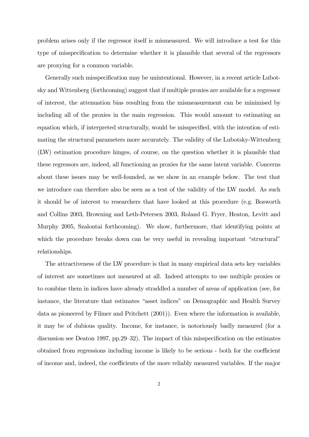problem arises only if the regressor itself is mismeasured. We will introduce a test for this type of misspecification to determine whether it is plausible that several of the regressors are proxying for a common variable.

Generally such misspecification may be unintentional. However, in a recent article Lubotsky and Wittenberg (forthcoming) suggest that if multiple proxies are available for a regressor of interest, the attenuation bias resulting from the mismeasurement can be minimised by including all of the proxies in the main regression. This would amount to estimating an equation which, if interpreted structurally, would be misspecified, with the intention of estimating the structural parameters more accurately. The validity of the Lubotsky-Wittenberg (LW) estimation procedure hinges, of course, on the question whether it is plausible that these regressors are, indeed, all functioning as proxies for the same latent variable. Concerns about these issues may be well-founded, as we show in an example below. The test that we introduce can therefore also be seen as a test of the validity of the LW model. As such it should be of interest to researchers that have looked at this procedure (e.g. Bosworth and Collins 2003, Browning and Leth-Petersen 2003, Roland G. Fryer, Heaton, Levitt and Murphy 2005, Szalontai forthcoming). We show, furthermore, that identifying points at which the procedure breaks down can be very useful in revealing important "structural" relationships.

The attractiveness of the LW procedure is that in many empirical data sets key variables of interest are sometimes not measured at all. Indeed attempts to use multiple proxies or to combine them in indices have already straddled a number of areas of application (see, for instance, the literature that estimates "asset indices" on Demographic and Health Survey data as pioneered by Filmer and Pritchett (2001)). Even where the information is available, it may be of dubious quality. Income, for instance, is notoriously badly measured (for a discussion see Deaton 1997, pp.29—32). The impact of this misspecification on the estimates obtained from regressions including income is likely to be serious - both for the coefficient of income and, indeed, the coefficients of the more reliably measured variables. If the major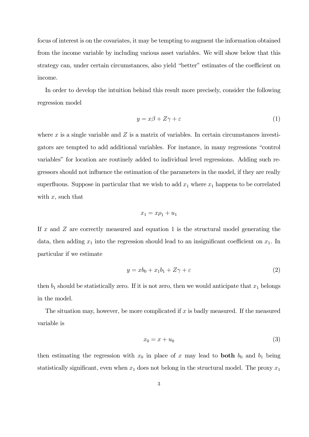focus of interest is on the covariates, it may be tempting to augment the information obtained from the income variable by including various asset variables. We will show below that this strategy can, under certain circumstances, also yield "better" estimates of the coefficient on income.

In order to develop the intuition behind this result more precisely, consider the following regression model

$$
y = x\beta + Z\gamma + \varepsilon \tag{1}
$$

where  $x$  is a single variable and  $Z$  is a matrix of variables. In certain circumstances investigators are tempted to add additional variables. For instance, in many regressions "control variables" for location are routinely added to individual level regressions. Adding such regressors should not influence the estimation of the parameters in the model, if they are really superfluous. Suppose in particular that we wish to add  $x_1$  where  $x_1$  happens to be correlated with  $x$ , such that

$$
x_1 = x\rho_1 + u_1
$$

If  $x$  and  $Z$  are correctly measured and equation 1 is the structural model generating the data, then adding  $x_1$  into the regression should lead to an insignificant coefficient on  $x_1$ . In particular if we estimate

$$
y = xb_0 + x_1b_1 + Z\gamma + \varepsilon \tag{2}
$$

then  $b_1$  should be statistically zero. If it is not zero, then we would anticipate that  $x_1$  belongs in the model.

The situation may, however, be more complicated if  $x$  is badly measured. If the measured variable is

$$
x_0 = x + u_0 \tag{3}
$$

then estimating the regression with  $x_0$  in place of x may lead to **both**  $b_0$  and  $b_1$  being statistically significant, even when  $x_1$  does not belong in the structural model. The proxy  $x_1$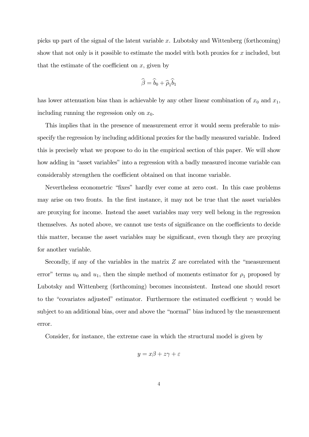picks up part of the signal of the latent variable x. Lubotsky and Wittenberg (forthcoming) show that not only is it possible to estimate the model with both proxies for  $x$  included, but that the estimate of the coefficient on  $x$ , given by

$$
\widehat{\beta} = \widehat{b}_0 + \widehat{\rho}_1 \widehat{b}_1
$$

has lower attenuation bias than is achievable by any other linear combination of  $x_0$  and  $x_1$ , including running the regression only on  $x_0$ .

This implies that in the presence of measurement error it would seem preferable to misspecify the regression by including additional proxies for the badly measured variable. Indeed this is precisely what we propose to do in the empirical section of this paper. We will show how adding in "asset variables" into a regression with a badly measured income variable can considerably strengthen the coefficient obtained on that income variable.

Nevertheless econometric "fixes" hardly ever come at zero cost. In this case problems may arise on two fronts. In the first instance, it may not be true that the asset variables are proxying for income. Instead the asset variables may very well belong in the regression themselves. As noted above, we cannot use tests of significance on the coefficients to decide this matter, because the asset variables may be significant, even though they are proxying for another variable.

Secondly, if any of the variables in the matrix Z are correlated with the "measurement error" terms  $u_0$  and  $u_1$ , then the simple method of moments estimator for  $\rho_1$  proposed by Lubotsky and Wittenberg (forthcoming) becomes inconsistent. Instead one should resort to the "covariates adjusted" estimator. Furthermore the estimated coefficient  $\gamma$  would be subject to an additional bias, over and above the "normal" bias induced by the measurement error.

Consider, for instance, the extreme case in which the structural model is given by

$$
y = x\beta + z\gamma + \varepsilon
$$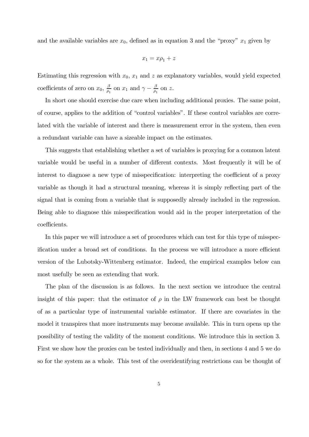and the available variables are  $x_0$ , defined as in equation 3 and the "proxy"  $x_1$  given by

$$
x_1=x\rho_1+z
$$

Estimating this regression with  $x_0$ ,  $x_1$  and z as explanatory variables, would yield expected coefficients of zero on  $x_0$ ,  $\frac{\beta}{\rho_1}$  on  $x_1$  and  $\gamma - \frac{\beta}{\rho_1}$  on  $z$ .

In short one should exercise due care when including additional proxies. The same point, of course, applies to the addition of "control variables". If these control variables are correlated with the variable of interest and there is measurement error in the system, then even a redundant variable can have a sizeable impact on the estimates.

This suggests that establishing whether a set of variables is proxying for a common latent variable would be useful in a number of different contexts. Most frequently it will be of interest to diagnose a new type of misspecification: interpreting the coefficient of a proxy variable as though it had a structural meaning, whereas it is simply reflecting part of the signal that is coming from a variable that is supposedly already included in the regression. Being able to diagnose this misspecification would aid in the proper interpretation of the coefficients.

In this paper we will introduce a set of procedures which can test for this type of misspecification under a broad set of conditions. In the process we will introduce a more efficient version of the Lubotsky-Wittenberg estimator. Indeed, the empirical examples below can most usefully be seen as extending that work.

The plan of the discussion is as follows. In the next section we introduce the central insight of this paper: that the estimator of  $\rho$  in the LW framework can best be thought of as a particular type of instrumental variable estimator. If there are covariates in the model it transpires that more instruments may become available. This in turn opens up the possibility of testing the validity of the moment conditions. We introduce this in section 3. First we show how the proxies can be tested individually and then, in sections 4 and 5 we do so for the system as a whole. This test of the overidentifying restrictions can be thought of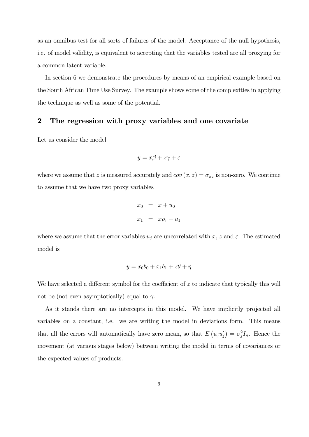as an omnibus test for all sorts of failures of the model. Acceptance of the null hypothesis, i.e. of model validity, is equivalent to accepting that the variables tested are all proxying for a common latent variable.

In section 6 we demonstrate the procedures by means of an empirical example based on the South African Time Use Survey. The example shows some of the complexities in applying the technique as well as some of the potential.

### 2 The regression with proxy variables and one covariate

Let us consider the model

$$
y = x\beta + z\gamma + \varepsilon
$$

where we assume that z is measured accurately and  $cov(x, z) = \sigma_{xz}$  is non-zero. We continue to assume that we have two proxy variables

$$
x_0 = x + u_0
$$
  

$$
x_1 = x\rho_1 + u_1
$$

where we assume that the error variables  $u_j$  are uncorrelated with x, z and  $\varepsilon$ . The estimated model is

$$
y = x_0b_0 + x_1b_1 + z\theta + \eta
$$

We have selected a different symbol for the coefficient of  $z$  to indicate that typically this will not be (not even asymptotically) equal to  $\gamma$ .

As it stands there are no intercepts in this model. We have implicitly projected all variables on a constant, i.e. we are writing the model in deviations form. This means that all the errors will automatically have zero mean, so that  $E(u_j u'_j) = \sigma_j^2 I_n$ . Hence the movement (at various stages below) between writing the model in terms of covariances or the expected values of products.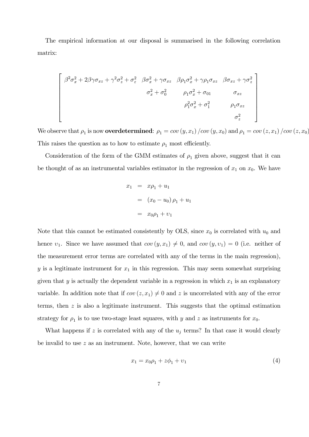The empirical information at our disposal is summarised in the following correlation matrix:

$$
\begin{bmatrix}\n\beta^2 \sigma_x^2 + 2\beta\gamma \sigma_{xz} + \gamma^2 \sigma_z^2 + \sigma_{\varepsilon}^2 & \beta \sigma_x^2 + \gamma \sigma_{xz} & \beta \rho_1 \sigma_x^2 + \gamma \rho_1 \sigma_{xz} & \beta \sigma_{xz} + \gamma \sigma_z^2 \\
\sigma_x^2 + \sigma_0^2 & \rho_1 \sigma_x^2 + \sigma_{01} & \sigma_{xz} \\
\sigma_1^2 \sigma_x^2 + \sigma_1^2 & \rho_1 \sigma_{xz} \\
\sigma_z^2 & \sigma_z^2\n\end{bmatrix}
$$

We observe that  $\rho_1$  is now **overdetermined**:  $\rho_1 = cov(y, x_1) / cov(y, x_0)$  and  $\rho_1 = cov(z, x_1) / cov(z, x_0)$ This raises the question as to how to estimate  $\rho_1$  most efficiently.

Consideration of the form of the GMM estimates of  $\rho_1$  given above, suggest that it can be thought of as an instrumental variables estimator in the regression of  $x_1$  on  $x_0$ . We have

$$
x_1 = x\rho_1 + u_1
$$
  
=  $(x_0 - u_0)\rho_1 + u_1$   
=  $x_0\rho_1 + v_1$ 

Note that this cannot be estimated consistently by OLS, since  $x_0$  is correlated with  $u_0$  and hence  $v_1$ . Since we have assumed that  $cov(y, x_1) \neq 0$ , and  $cov(y, v_1)=0$  (i.e. neither of the measurement error terms are correlated with any of the terms in the main regression),  $y$  is a legitimate instrument for  $x_1$  in this regression. This may seem somewhat surprising given that  $y$  is actually the dependent variable in a regression in which  $x_1$  is an explanatory variable. In addition note that if  $cov(z, x_1) \neq 0$  and z is uncorrelated with any of the error terms, then z is also a legitimate instrument. This suggests that the optimal estimation strategy for  $\rho_1$  is to use two-stage least squares, with y and z as instruments for  $x_0$ .

What happens if z is correlated with any of the  $u_j$  terms? In that case it would clearly be invalid to use z as an instrument. Note, however, that we can write

$$
x_1 = x_0 \rho_1 + z \phi_1 + v_1 \tag{4}
$$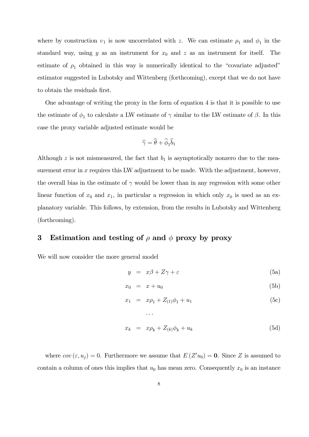where by construction  $v_1$  is now uncorrelated with z. We can estimate  $\rho_1$  and  $\phi_1$  in the standard way, using y as an instrument for  $x_0$  and z as an instrument for itself. The estimate of  $\rho_1$  obtained in this way is numerically identical to the "covariate adjusted" estimator suggested in Lubotsky and Wittenberg (forthcoming), except that we do not have to obtain the residuals first.

One advantage of writing the proxy in the form of equation 4 is that it is possible to use the estimate of  $\phi_1$  to calculate a LW estimate of  $\gamma$  similar to the LW estimate of  $\beta$ . In this case the proxy variable adjusted estimate would be

$$
\widehat{\gamma} = \widehat{\theta} + \widehat{\phi}_1 \widehat{b}_1
$$

Although  $z$  is not mismeasured, the fact that  $b_1$  is asymptotically nonzero due to the measurement error in  $x$  requires this LW adjustment to be made. With the adjustment, however, the overall bias in the estimate of  $\gamma$  would be lower than in any regression with some other linear function of  $x_0$  and  $x_1$ , in particular a regression in which only  $x_0$  is used as an explanatory variable. This follows, by extension, from the results in Lubotsky and Wittenberg (forthcoming).

### 3 Estimation and testing of  $\rho$  and  $\phi$  proxy by proxy

We will now consider the more general model

$$
y = x\beta + Z\gamma + \varepsilon \tag{5a}
$$

$$
x_0 = x + u_0 \tag{5b}
$$

$$
x_1 = x\rho_1 + Z_{(1)}\phi_1 + u_1 \tag{5c}
$$

$$
x_k = x\rho_k + Z_{(k)}\phi_k + u_k \tag{5d}
$$

where  $cov(\varepsilon, u_j) = 0$ . Furthermore we assume that  $E(Z' u_0) = 0$ . Since Z is assumed to contain a column of ones this implies that  $u_0$  has mean zero. Consequently  $x_0$  is an instance

···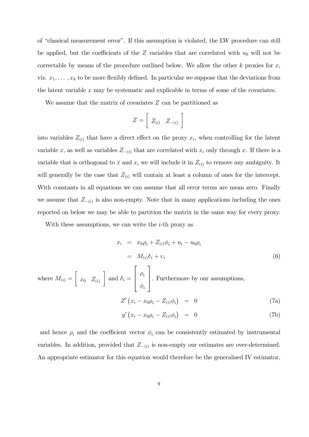of "classical measurement error". If this assumption is violated, the LW procedure can still be applied, but the coefficients of the Z variables that are correlated with  $u_0$  will not be correctable by means of the procedure outlined below. We allow the other  $k$  proxies for  $x$ , viz.  $x_1, \ldots, x_k$  to be more flexibly defined. In particular we suppose that the deviations from the latent variable x may be systematic and explicable in terms of some of the covariates.

We assume that the matrix of covariates  $Z$  can be partitioned as

$$
Z = \left[ \begin{array}{cc} Z_{(i)} & Z_{-(i)} \end{array} \right]
$$

into variables  $Z_{(i)}$  that have a direct effect on the proxy  $x_i$ , when controlling for the latent variable x, as well as variables  $Z_{-(i)}$  that are correlated with  $x_i$  only through x. If there is a variable that is orthogonal to x and  $x_i$  we will include it in  $Z_{(i)}$  to remove any ambiguity. It will generally be the case that  $Z_{(i)}$  will contain at least a column of ones for the intercept. With constants in all equations we can assume that all error terms are mean zero. Finally we assume that  $Z_{-(i)}$  is also non-empty. Note that in many applications including the ones reported on below we may be able to partition the matrix in the same way for every proxy.

With these assumptions, we can write the  $i$ -th proxy as

$$
x_i = x_0 \rho_i + Z_{(i)} \phi_i + u_i - u_0 \rho_i
$$
  
= 
$$
M_{(i)} \delta_i + v_i
$$
 (6)

where 
$$
M_{(i)} = \begin{bmatrix} x_0 & Z_{(i)} \end{bmatrix}
$$
 and  $\delta_i = \begin{bmatrix} \rho_i \\ \phi_i \end{bmatrix}$ . Furthermore by our assumptions,

$$
Z'\left(x_i - x_0\rho_i - Z_{(i)}\phi_i\right) = 0 \tag{7a}
$$

$$
y'\left(x_i - x_0\rho_i - Z_{(i)}\phi_i\right) = 0 \tag{7b}
$$

and hence  $\rho_i$  and the coefficient vector  $\phi_i$  can be consistently estimated by instrumental variables. In addition, provided that  $Z_{-(i)}$  is non-empty our estimates are over-determined. An appropriate estimator for this equation would therefore be the generalised IV estimator,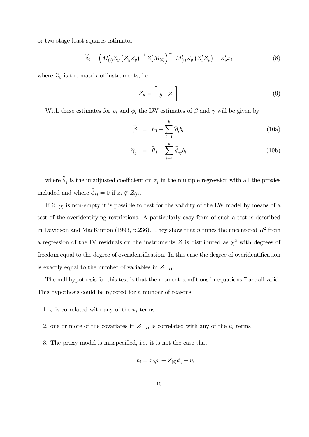or two-stage least squares estimator

$$
\widehat{\delta}_{i} = \left( M'_{(i)} Z_y \left( Z'_y Z_y \right)^{-1} Z'_y M_{(i)} \right)^{-1} M'_{(i)} Z_y \left( Z'_y Z_y \right)^{-1} Z'_y x_i \tag{8}
$$

where  $Z_y$  is the matrix of instruments, i.e.

$$
Z_y = \left[ \begin{array}{cc} y & Z \end{array} \right] \tag{9}
$$

With these estimates for  $\rho_i$  and  $\phi_i$  the LW estimates of  $\beta$  and  $\gamma$  will be given by

$$
\widehat{\beta} = b_0 + \sum_{i=1}^{k} \widehat{\rho}_i b_i \tag{10a}
$$

$$
\widehat{\gamma}_j = \widehat{\theta}_j + \sum_{i=1}^k \widehat{\phi}_{ij} b_i \tag{10b}
$$

where  $\widehat{\theta}_j$  is the unadjusted coefficient on  $z_j$  in the multiple regression with all the proxies included and where  $\widehat{\phi}_{ij} = 0$  if  $z_j \notin Z_{(i)}$ .

If  $Z_{-(i)}$  is non-empty it is possible to test for the validity of the LW model by means of a test of the overidentifying restrictions. A particularly easy form of such a test is described in Davidson and MacKinnon (1993, p.236). They show that n times the uncentered  $R^2$  from a regression of the IV residuals on the instruments Z is distributed as  $\chi^2$  with degrees of freedom equal to the degree of overidentification. In this case the degree of overidentification is exactly equal to the number of variables in  $Z_{-(i)}$ .

The null hypothesis for this test is that the moment conditions in equations 7 are all valid. This hypothesis could be rejected for a number of reasons:

- 1.  $\varepsilon$  is correlated with any of the  $u_i$  terms
- 2. one or more of the covariates in  $Z_{-(i)}$  is correlated with any of the  $u_i$  terms
- 3. The proxy model is misspecified, i.e. it is not the case that

$$
x_i = x_0 \rho_i + Z_{(i)} \phi_i + v_i
$$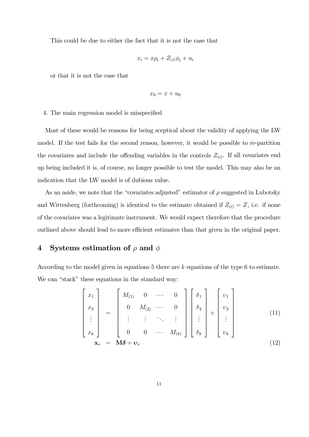This could be due to either the fact that it is not the case that

$$
x_i = x\rho_i + Z_{(i)}\phi_i + u_i
$$

or that it is not the case that

$$
x_0=x+u_0
$$

#### 4. The main regression model is misspecified

Most of these would be reasons for being sceptical about the validity of applying the LW model. If the test fails for the second reason, however, it would be possible to re-partition the covariates and include the offending variables in the controls  $Z_{(i)}$ . If all covariates end up being included it is, of course, no longer possible to test the model. This may also be an indication that the LW model is of dubious value.

As an aside, we note that the "covariates adjusted" estimator of  $\rho$  suggested in Lubotsky and Wittenberg (forthcoming) is identical to the estimate obtained if  $Z_{(i)} = Z$ , i.e. if none of the covariates was a legitimate instrument. We would expect therefore that the procedure outlined above should lead to more efficient estimates than that given in the original paper.

## 4 Systems estimation of  $\rho$  and  $\phi$

According to the model given in equations 5 there are k equations of the type 6 to estimate. We can "stack" these equations in the standard way:

$$
\begin{bmatrix} x_1 \\ x_2 \\ \vdots \\ x_k \end{bmatrix} = \begin{bmatrix} M_{(1)} & 0 & \cdots & 0 \\ 0 & M_{(2)} & \cdots & 0 \\ \vdots & \vdots & \ddots & \vdots \\ 0 & 0 & \cdots & M_{(k)} \end{bmatrix} \begin{bmatrix} \delta_1 \\ \delta_2 \\ \vdots \\ \delta_k \end{bmatrix} + \begin{bmatrix} v_1 \\ v_2 \\ \vdots \\ v_k \end{bmatrix}
$$
(11)  

$$
\mathbf{x}_v = \mathbf{M} \delta + \mathbf{v}_v
$$
(12)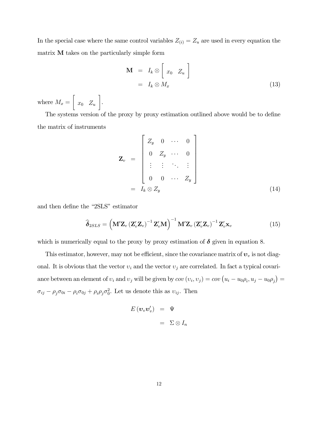In the special case where the same control variables  $Z_{(i)} = Z_u$  are used in every equation the matrix M takes on the particularly simple form

$$
\mathbf{M} = I_k \otimes \left[ x_0 \ Z_u \right]
$$
  
=  $I_k \otimes M_x$  (13)

where  $M_x =$ ·  $x_0$   $Z_u$ ¸ .

The systems version of the proxy by proxy estimation outlined above would be to define the matrix of instruments

$$
\mathbf{Z}_{v} = \begin{bmatrix} Z_{y} & 0 & \cdots & 0 \\ 0 & Z_{y} & \cdots & 0 \\ \vdots & \vdots & \ddots & \vdots \\ 0 & 0 & \cdots & Z_{y} \end{bmatrix}
$$
\n
$$
= I_{k} \otimes Z_{y} \tag{14}
$$

and then define the "2SLS" estimator

$$
\widehat{\boldsymbol{\delta}}_{2SLS} = \left(\mathbf{M}'\mathbf{Z}_v\left(\mathbf{Z}_v'\mathbf{Z}_v\right)^{-1}\mathbf{Z}_v'\mathbf{M}\right)^{-1}\mathbf{M}'\mathbf{Z}_v\left(\mathbf{Z}_v'\mathbf{Z}_v\right)^{-1}\mathbf{Z}_v'\mathbf{x}_v
$$
\n(15)

which is numerically equal to the proxy by proxy estimation of  $\delta$  given in equation 8.

This estimator, however, may not be efficient, since the covariance matrix of  $v<sub>v</sub>$  is not diagonal. It is obvious that the vector  $v_i$  and the vector  $v_j$  are correlated. In fact a typical covariance between an element of  $v_i$  and  $v_j$  will be given by  $cov(v_i, v_j) = cov(u_i - u_0 \rho_i, u_j - u_0 \rho_j) =$  $\sigma_{ij} - \rho_j \sigma_{0i} - \rho_i \sigma_{0j} + \rho_i \rho_j \sigma_0^2$ . Let us denote this as  $v_{ij}$ . Then

$$
E(\boldsymbol{v}_v \boldsymbol{v}'_v) = \Psi
$$

$$
= \Sigma \otimes I_n
$$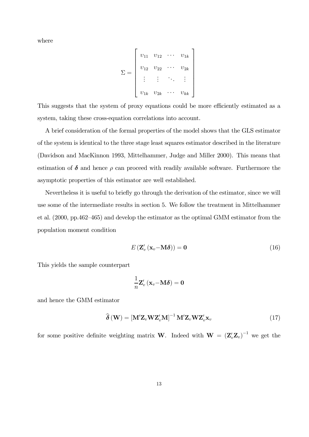where

$$
\Sigma = \begin{bmatrix} v_{11} & v_{12} & \cdots & v_{1k} \\ v_{12} & v_{22} & \cdots & v_{2k} \\ \vdots & \vdots & \ddots & \vdots \\ v_{1k} & v_{2k} & \cdots & v_{kk} \end{bmatrix}
$$

This suggests that the system of proxy equations could be more efficiently estimated as a system, taking these cross-equation correlations into account.

A brief consideration of the formal properties of the model shows that the GLS estimator of the system is identical to the three stage least squares estimator described in the literature (Davidson and MacKinnon 1993, Mittelhammer, Judge and Miller 2000). This means that estimation of  $\delta$  and hence  $\rho$  can proceed with readily available software. Furthermore the asymptotic properties of this estimator are well established.

Nevertheless it is useful to briefly go through the derivation of the estimator, since we will use some of the intermediate results in section 5. We follow the treatment in Mittelhammer et al. (2000, pp.462—465) and develop the estimator as the optimal GMM estimator from the population moment condition

$$
E\left(\mathbf{Z}_{v}'\left(\mathbf{x}_{v}-\mathbf{M}\boldsymbol{\delta}\right)\right)=\mathbf{0}\tag{16}
$$

This yields the sample counterpart

$$
\frac{1}{n}\mathbf{Z}_v'\left(\mathbf{x}_v\!-\!\mathbf{M}\boldsymbol{\delta}\right)=\mathbf{0}
$$

and hence the GMM estimator

$$
\widehat{\boldsymbol{\delta}}\left(\mathbf{W}\right) = \left[\mathbf{M}'\mathbf{Z}_v\mathbf{W}\mathbf{Z}_v'\mathbf{M}\right]^{-1}\mathbf{M}'\mathbf{Z}_v\mathbf{W}\mathbf{Z}_v'\mathbf{x}_v\tag{17}
$$

for some positive definite weighting matrix **W**. Indeed with  $\mathbf{W} = (\mathbf{Z}_{v}^{\prime} \mathbf{Z}_{v})^{-1}$  we get the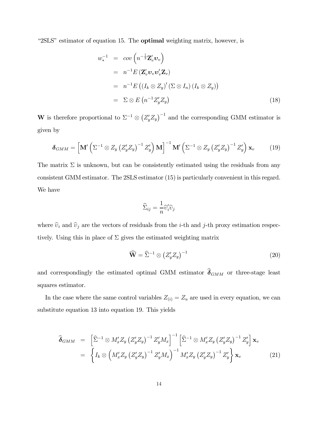"2SLS" estimator of equation 15. The **optimal** weighting matrix, however, is

$$
w_*^{-1} = cov\left(n^{-\frac{1}{2}}\mathbf{Z}_v'\mathbf{v}_v\right)
$$
  
=  $n^{-1}E\left(\mathbf{Z}_v'\mathbf{v}_v\mathbf{v}_v'\mathbf{Z}_v\right)$   
=  $n^{-1}E\left(\left(I_k \otimes Z_y\right)'(\Sigma \otimes I_n)\left(I_k \otimes Z_y\right)\right)$   
=  $\Sigma \otimes E\left(n^{-1}Z_y'Z_y\right)$  (18)

W is therefore proportional to  $\Sigma^{-1} \otimes (Z_y' Z_y)^{-1}$  and the corresponding GMM estimator is given by

$$
\delta_{GMM} = \left[\mathbf{M}'\left(\Sigma^{-1}\otimes Z_y\left(Z'_yZ_y\right)^{-1}Z'_y\right)\mathbf{M}\right]^{-1}\mathbf{M}'\left(\Sigma^{-1}\otimes Z_y\left(Z'_yZ_y\right)^{-1}Z'_y\right)\mathbf{x}_v\tag{19}
$$

The matrix  $\Sigma$  is unknown, but can be consistently estimated using the residuals from any consistent GMM estimator. The 2SLS estimator (15) is particularly convenient in this regard. We have

$$
\widehat{\Sigma}_{ij} = \frac{1}{n} \widehat{v}'_i \widehat{v}_j
$$

where  $\hat{v}_i$  and  $\hat{v}_j$  are the vectors of residuals from the *i*-th and *j*-th proxy estimation respectively. Using this in place of  $\Sigma$  gives the estimated weighting matrix

$$
\widehat{\mathbf{W}} = \widehat{\Sigma}^{-1} \otimes \left( Z_y' Z_y \right)^{-1} \tag{20}
$$

and correspondingly the estimated optimal GMM estimator  $\hat{\delta}_{GMM}$  or three-stage least squares estimator.

In the case where the same control variables  $Z_{(i)} = Z_u$  are used in every equation, we can substitute equation 13 into equation 19. This yields

$$
\widehat{\boldsymbol{\delta}}_{GMM} = \left[ \widehat{\Sigma}^{-1} \otimes M'_x Z_y \left( Z'_y Z_y \right)^{-1} Z'_y M_x \right]^{-1} \left[ \widehat{\Sigma}^{-1} \otimes M'_x Z_y \left( Z'_y Z_y \right)^{-1} Z'_y \right] \mathbf{x}_v
$$
\n
$$
= \left\{ I_k \otimes \left( M'_x Z_y \left( Z'_y Z_y \right)^{-1} Z'_y M_x \right)^{-1} M'_x Z_y \left( Z'_y Z_y \right)^{-1} Z'_y \right\} \mathbf{x}_v \tag{21}
$$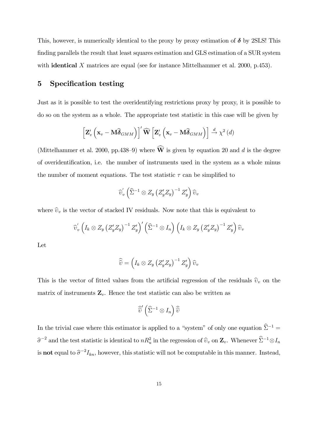This, however, is numerically identical to the proxy by proxy estimation of  $\delta$  by 2SLS! This finding parallels the result that least squares estimation and GLS estimation of a SUR system with **identical** X matrices are equal (see for instance Mittelhammer et al. 2000, p.453).

### 5 Specification testing

Just as it is possible to test the overidentifying restrictions proxy by proxy, it is possible to do so on the system as a whole. The appropriate test statistic in this case will be given by

$$
\left[\mathbf{Z}'_v\left(\mathbf{x}_v-\mathbf{M}\widehat{\boldsymbol{\delta}}_{GMM}\right)\right]'\widehat{\mathbf{W}}\left[\mathbf{Z}'_v\left(\mathbf{x}_v-\mathbf{M}\widehat{\boldsymbol{\delta}}_{GMM}\right)\right] \stackrel{d}{\rightarrow} \chi^2\left(d\right)
$$

(Mittelhammer et al. 2000, pp.438–9) where  $\widehat{W}$  is given by equation 20 and d is the degree of overidentification, i.e. the number of instruments used in the system as a whole minus the number of moment equations. The test statistic  $\tau$  can be simplified to

$$
\widehat{\upsilon}'_v\left(\widehat{\Sigma}^{-1}\otimes Z_y\left(Z'_yZ_y\right)^{-1}Z'_y\right)\widehat{\upsilon}_v
$$

where  $\hat{v}_v$  is the vector of stacked IV residuals. Now note that this is equivalent to

$$
\widehat{\upsilon}'_v\left(I_k\otimes Z_y\left(Z'_yZ_y\right)^{-1}Z'_y\right)'\left(\widehat{\Sigma}^{-1}\otimes I_n\right)\left(I_k\otimes Z_y\left(Z'_yZ_y\right)^{-1}Z'_y\right)\widehat{\upsilon}_v
$$

Let

$$
\widehat{\widehat{v}} = \left(I_k \otimes Z_y \left(Z'_y Z_y\right)^{-1} Z'_y\right) \widehat{v}_v
$$

This is the vector of fitted values from the artificial regression of the residuals  $\hat{v}_v$  on the matrix of instruments  $\mathbf{Z}_v$ . Hence the test statistic can also be written as

$$
\widehat{\widehat{v}}'\left(\widehat{\Sigma}^{-1}\otimes I_n\right)\widehat{\widehat{v}}
$$

In the trivial case where this estimator is applied to a "system" of only one equation  $\widehat{\Sigma}^{-1} =$  $\hat{\sigma}^{-2}$  and the test statistic is identical to  $nR_u^2$  in the regression of  $\hat{v}_v$  on  $\mathbf{Z}_v$ . Whenever  $\hat{\Sigma}^{-1}\otimes I_n$ is **not** equal to  $\hat{\sigma}^{-2}I_{kn}$ , however, this statistic will not be computable in this manner. Instead,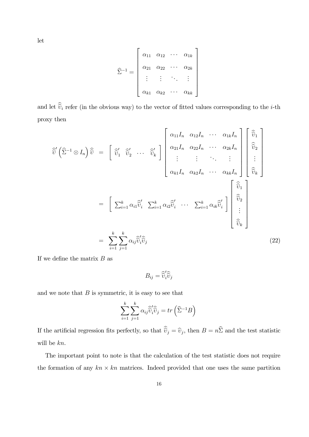let

$$
\widehat{\Sigma}^{-1} = \left[\begin{array}{cccc} \alpha_{11} & \alpha_{12} & \cdots & \alpha_{1k} \\ \alpha_{21} & \alpha_{22} & \cdots & \alpha_{2k} \\ \vdots & \vdots & \ddots & \vdots \\ \alpha_{k1} & \alpha_{k2} & \cdots & \alpha_{kk} \end{array}\right]
$$

and let  $\widehat{v}_i$  refer (in the obvious way) to the vector of fitted values corresponding to the *i*-th proxy then

$$
\widehat{v} \left( \widehat{\Sigma}^{-1} \otimes I_n \right) \widehat{v} = \begin{bmatrix} \widehat{v}_1 & \widehat{v}_2 & \cdots & \widehat{v}_k \end{bmatrix} \begin{bmatrix} \alpha_{11} I_n & \alpha_{12} I_n & \cdots & \alpha_{1k} I_n \\ \alpha_{21} I_n & \alpha_{22} I_n & \cdots & \alpha_{2k} I_n \\ \vdots & \vdots & \ddots & \vdots \\ \alpha_{k1} I_n & \alpha_{k2} I_n & \cdots & \alpha_{kk} I_n \end{bmatrix} \begin{bmatrix} \widehat{v}_1 \\ \widehat{v}_2 \\ \vdots \\ \widehat{v}_k \end{bmatrix}
$$

$$
= \begin{bmatrix} \sum_{i=1}^k \alpha_{i1} \widehat{v}_i & \sum_{i=1}^k \alpha_{i2} \widehat{v}_i' & \cdots & \sum_{i=1}^k \alpha_{ik} \widehat{v}_i' \\ \vdots \\ \widehat{v}_k \end{bmatrix} \begin{bmatrix} \widehat{\widehat{v}}_1 \\ \widehat{\widehat{v}}_2 \\ \vdots \\ \widehat{v}_k \end{bmatrix}
$$

$$
= \sum_{i=1}^k \sum_{j=1}^k \alpha_{ij} \widehat{v}_i' \widehat{\widehat{v}}_j
$$
(22)

If we define the matrix  $B$  as

$$
B_{ij} = \widehat{v}_i' \widehat{v}_j
$$

and we note that  $B$  is symmetric, it is easy to see that

$$
\sum_{i=1}^{k} \sum_{j=1}^{k} \alpha_{ij} \widehat{\widetilde{v}}_{i}^{\prime} \widehat{\widetilde{v}}_{j} = tr\left(\widehat{\Sigma}^{-1} B\right)
$$

If the artificial regression fits perfectly, so that  $\widehat{v}_j = \widehat{v}_j$ , then  $B = n\widehat{\Sigma}$  and the test statistic will be kn.

The important point to note is that the calculation of the test statistic does not require the formation of any  $kn \times kn$  matrices. Indeed provided that one uses the same partition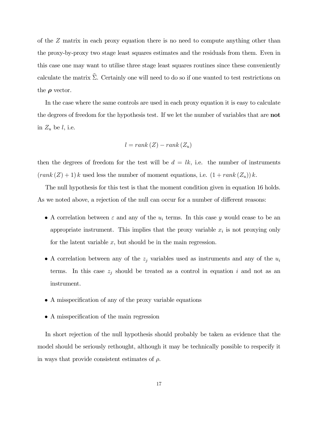of the Z matrix in each proxy equation there is no need to compute anything other than the proxy-by-proxy two stage least squares estimates and the residuals from them. Even in this case one may want to utilise three stage least squares routines since these conveniently calculate the matrix  $\hat{\Sigma}$ . Certainly one will need to do so if one wanted to test restrictions on the  $\rho$  vector.

In the case where the same controls are used in each proxy equation it is easy to calculate the degrees of freedom for the hypothesis test. If we let the number of variables that are not in  $Z_u$  be l, i.e.

$$
l = rank(Z) - rank(Z_u)
$$

then the degrees of freedom for the test will be  $d = lk$ , i.e. the number of instruments  $(rank (Z) + 1) k$  used less the number of moment equations, i.e.  $(1 + rank (Z_u)) k$ .

The null hypothesis for this test is that the moment condition given in equation 16 holds. As we noted above, a rejection of the null can occur for a number of different reasons:

- A correlation between  $\varepsilon$  and any of the  $u_i$  terms. In this case y would cease to be an appropriate instrument. This implies that the proxy variable  $x_i$  is not proxying only for the latent variable  $x$ , but should be in the main regression.
- A correlation between any of the  $z_j$  variables used as instruments and any of the  $u_i$ terms. In this case  $z_j$  should be treated as a control in equation i and not as an instrument.
- A misspecification of any of the proxy variable equations
- A misspecification of the main regression

In short rejection of the null hypothesis should probably be taken as evidence that the model should be seriously rethought, although it may be technically possible to respecify it in ways that provide consistent estimates of  $\rho$ .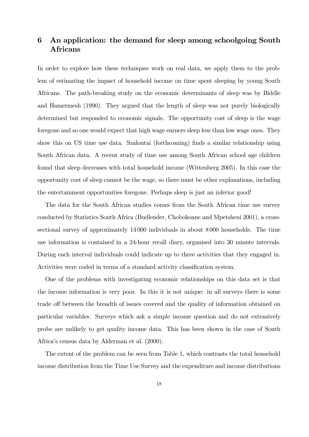## 6 An application: the demand for sleep among schoolgoing South Africans

In order to explore how these techniques work on real data, we apply them to the problem of estimating the impact of household income on time spent sleeping by young South Africans. The path-breaking study on the economic determinants of sleep was by Biddle and Hamermesh (1990). They argued that the length of sleep was not purely biologically determined but responded to economic signals. The opportunity cost of sleep is the wage foregone and so one would expect that high wage earners sleep less than low wage ones. They show this on US time use data. Szalontai (forthcoming) finds a similar relationship using South African data. A recent study of time use among South African school age children found that sleep decreases with total household income (Wittenberg 2005). In this case the opportunity cost of sleep cannot be the wage, so there must be other explanations, including the entertainment opportunities foregone. Perhaps sleep is just an inferior good!

The data for the South African studies comes from the South African time use survey conducted by Statistics South Africa (Budlender, Chobokoane and Mpetsheni 2001), a crosssectional survey of approximately 14 000 individuals in about 8 000 households. The time use information is contained in a 24-hour recall diary, organised into 30 minute intervals. During each interval individuals could indicate up to three activities that they engaged in. Activities were coded in terms of a standard activity classification system.

One of the problems with investigating economic relationships on this data set is that the income information is very poor. In this it is not unique: in all surveys there is some trade off between the breadth of issues covered and the quality of information obtained on particular variables. Surveys which ask a simple income question and do not extensively probe are unlikely to get quality income data. This has been shown in the case of South Africa's census data by Alderman et al. (2000).

The extent of the problem can be seen from Table 1, which contrasts the total household income distribution from the Time Use Survey and the expenditure and income distributions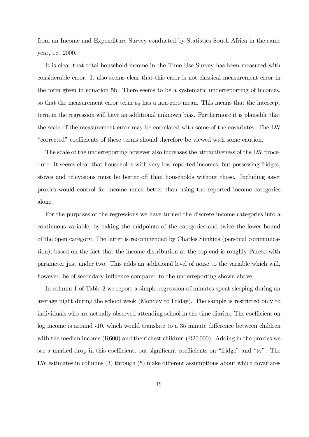from an Income and Expenditure Survey conducted by Statistics South Africa in the same year, i.e. 2000.

It is clear that total household income in the Time Use Survey has been measured with considerable error. It also seems clear that this error is not classical measurement error in the form given in equation 5b. There seems to be a systematic underreporting of incomes, so that the measurement error term  $u_0$  has a non-zero mean. This means that the intercept term in the regression will have an additional unknown bias. Furthermore it is plausible that the scale of the measurement error may be correlated with some of the covariates. The LW "corrected" coefficients of these terms should therefore be viewed with some caution.

The scale of the underreporting however also increases the attractiveness of the LW procedure. It seems clear that households with very low reported incomes, but possessing fridges, stoves and televisions must be better off than households without those. Including asset proxies would control for income much better than using the reported income categories alone.

For the purposes of the regressions we have turned the discrete income categories into a continuous variable, by taking the midpoints of the categories and twice the lower bound of the open category. The latter is recommended by Charles Simkins (personal communication), based on the fact that the income distribution at the top end is roughly Pareto with parameter just under two. This adds an additional level of noise to the variable which will, however, be of secondary influence compared to the underreporting shown above.

In column 1 of Table 2 we report a simple regression of minutes spent sleeping during an average night during the school week (Monday to Friday). The sample is restricted only to individuals who are actually observed attending school in the time diaries. The coefficient on log income is around -10, which would translate to a 35 minute difference between children with the median income (R600) and the richest children (R20000). Adding in the proxies we see a marked drop in this coefficient, but significant coefficients on "fridge" and "tv". The LW estimates in columns (3) through (5) make different assumptions about which covariates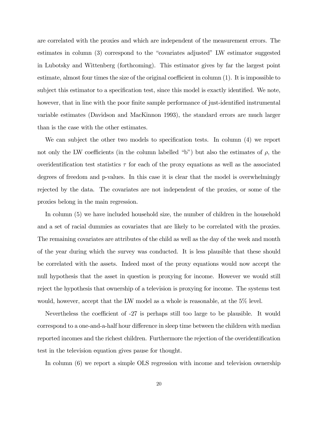are correlated with the proxies and which are independent of the measurement errors. The estimates in column (3) correspond to the "covariates adjusted" LW estimator suggested in Lubotsky and Wittenberg (forthcoming). This estimator gives by far the largest point estimate, almost four times the size of the original coefficient in column (1). It is impossible to subject this estimator to a specification test, since this model is exactly identified. We note, however, that in line with the poor finite sample performance of just-identified instrumental variable estimates (Davidson and MacKinnon 1993), the standard errors are much larger than is the case with the other estimates.

We can subject the other two models to specification tests. In column (4) we report not only the LW coefficients (in the column labelled "b") but also the estimates of  $\rho$ , the overidentification test statistics  $\tau$  for each of the proxy equations as well as the associated degrees of freedom and p-values. In this case it is clear that the model is overwhelmingly rejected by the data. The covariates are not independent of the proxies, or some of the proxies belong in the main regression.

In column (5) we have included household size, the number of children in the household and a set of racial dummies as covariates that are likely to be correlated with the proxies. The remaining covariates are attributes of the child as well as the day of the week and month of the year during which the survey was conducted. It is less plausible that these should be correlated with the assets. Indeed most of the proxy equations would now accept the null hypothesis that the asset in question is proxying for income. However we would still reject the hypothesis that ownership of a television is proxying for income. The systems test would, however, accept that the LW model as a whole is reasonable, at the 5% level.

Nevertheless the coefficient of -27 is perhaps still too large to be plausible. It would correspond to a one-and-a-half hour difference in sleep time between the children with median reported incomes and the richest children. Furthermore the rejection of the overidentification test in the television equation gives pause for thought.

In column (6) we report a simple OLS regression with income and television ownership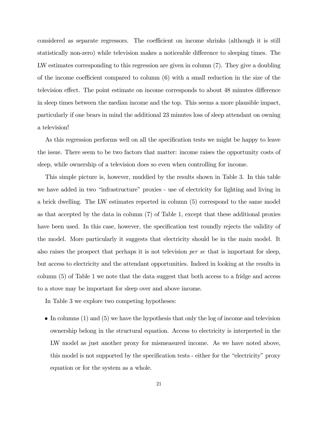considered as separate regressors. The coefficient on income shrinks (although it is still statistically non-zero) while television makes a noticeable difference to sleeping times. The LW estimates corresponding to this regression are given in column (7). They give a doubling of the income coefficient compared to column (6) with a small reduction in the size of the television effect. The point estimate on income corresponds to about 48 minutes difference in sleep times between the median income and the top. This seems a more plausible impact, particularly if one bears in mind the additional 23 minutes loss of sleep attendant on owning a television!

As this regression performs well on all the specification tests we might be happy to leave the issue. There seem to be two factors that matter: income raises the opportunity costs of sleep, while ownership of a television does so even when controlling for income.

This simple picture is, however, muddied by the results shown in Table 3. In this table we have added in two "infrastructure" proxies - use of electricity for lighting and living in a brick dwelling. The LW estimates reported in column (5) correspond to the same model as that accepted by the data in column (7) of Table 1, except that these additional proxies have been used. In this case, however, the specification test roundly rejects the validity of the model. More particularly it suggests that electricity should be in the main model. It also raises the prospect that perhaps it is not television per se that is important for sleep, but access to electricity and the attendant opportunities. Indeed in looking at the results in column (5) of Table 1 we note that the data suggest that both access to a fridge and access to a stove may be important for sleep over and above income.

In Table 3 we explore two competing hypotheses:

• In columns (1) and (5) we have the hypothesis that only the log of income and television ownership belong in the structural equation. Access to electricity is interpreted in the LW model as just another proxy for mismeasured income. As we have noted above, this model is not supported by the specification tests - either for the "electricity" proxy equation or for the system as a whole.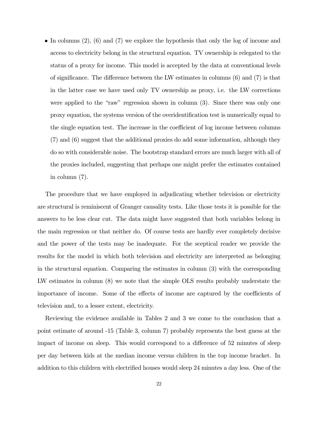• In columns  $(2)$ ,  $(6)$  and  $(7)$  we explore the hypothesis that only the log of income and access to electricity belong in the structural equation. TV ownership is relegated to the status of a proxy for income. This model is accepted by the data at conventional levels of significance. The difference between the LW estimates in columns (6) and (7) is that in the latter case we have used only TV ownership as proxy, i.e. the LW corrections were applied to the "raw" regression shown in column (3). Since there was only one proxy equation, the systems version of the overidentification test is numerically equal to the single equation test. The increase in the coefficient of log income between columns (7) and (6) suggest that the additional proxies do add some information, although they do so with considerable noise. The bootstrap standard errors are much larger with all of the proxies included, suggesting that perhaps one might prefer the estimates contained in column (7).

The procedure that we have employed in adjudicating whether television or electricity are structural is reminiscent of Granger causality tests. Like those tests it is possible for the answers to be less clear cut. The data might have suggested that both variables belong in the main regression or that neither do. Of course tests are hardly ever completely decisive and the power of the tests may be inadequate. For the sceptical reader we provide the results for the model in which both television and electricity are interpreted as belonging in the structural equation. Comparing the estimates in column (3) with the corresponding LW estimates in column (8) we note that the simple OLS results probably understate the importance of income. Some of the effects of income are captured by the coefficients of television and, to a lesser extent, electricity.

Reviewing the evidence available in Tables 2 and 3 we come to the conclusion that a point estimate of around -15 (Table 3, column 7) probably represents the best guess at the impact of income on sleep. This would correspond to a difference of 52 minutes of sleep per day between kids at the median income versus children in the top income bracket. In addition to this children with electrified houses would sleep 24 minutes a day less. One of the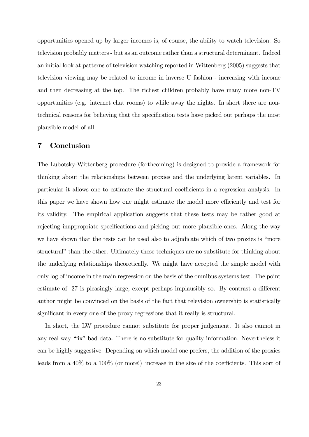opportunities opened up by larger incomes is, of course, the ability to watch television. So television probably matters - but as an outcome rather than a structural determinant. Indeed an initial look at patterns of television watching reported in Wittenberg (2005) suggests that television viewing may be related to income in inverse U fashion - increasing with income and then decreasing at the top. The richest children probably have many more non-TV opportunities (e.g. internet chat rooms) to while away the nights. In short there are nontechnical reasons for believing that the specification tests have picked out perhaps the most plausible model of all.

### 7 Conclusion

The Lubotsky-Wittenberg procedure (forthcoming) is designed to provide a framework for thinking about the relationships between proxies and the underlying latent variables. In particular it allows one to estimate the structural coefficients in a regression analysis. In this paper we have shown how one might estimate the model more efficiently and test for its validity. The empirical application suggests that these tests may be rather good at rejecting inappropriate specifications and picking out more plausible ones. Along the way we have shown that the tests can be used also to adjudicate which of two proxies is "more structural" than the other. Ultimately these techniques are no substitute for thinking about the underlying relationships theoretically. We might have accepted the simple model with only log of income in the main regression on the basis of the omnibus systems test. The point estimate of -27 is pleasingly large, except perhaps implausibly so. By contrast a different author might be convinced on the basis of the fact that television ownership is statistically significant in every one of the proxy regressions that it really is structural.

In short, the LW procedure cannot substitute for proper judgement. It also cannot in any real way "fix" bad data. There is no substitute for quality information. Nevertheless it can be highly suggestive. Depending on which model one prefers, the addition of the proxies leads from a 40% to a 100% (or more!) increase in the size of the coefficients. This sort of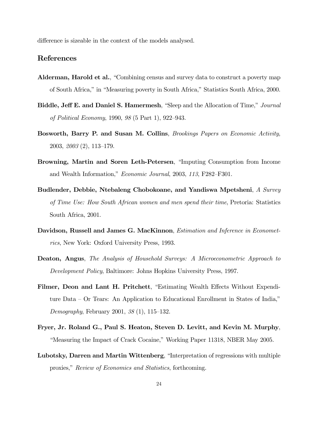difference is sizeable in the context of the models analysed.

### References

- Alderman, Harold et al., "Combining census and survey data to construct a poverty map of South Africa," in "Measuring poverty in South Africa," Statistics South Africa, 2000.
- Biddle, Jeff E. and Daniel S. Hamermesh, "Sleep and the Allocation of Time," Journal of Political Economy, 1990, 98 (5 Part 1), 922—943.
- Bosworth, Barry P. and Susan M. Collins, Brookings Papers on Economic Activity, 2003, 2003 (2), 113—179.
- Browning, Martin and Soren Leth-Petersen, "Imputing Consumption from Income and Wealth Information," Economic Journal, 2003, 113, F282—F301.
- Budlender, Debbie, Ntebaleng Chobokoane, and Yandiswa Mpetsheni, A Survey of Time Use: How South African women and men spend their time, Pretoria: Statistics South Africa, 2001.
- Davidson, Russell and James G. MacKinnon, *Estimation and Inference in Economet*rics, New York: Oxford University Press, 1993.
- Deaton, Angus, The Analysis of Household Surveys: A Microeconometric Approach to Development Policy, Baltimore: Johns Hopkins University Press, 1997.
- Filmer, Deon and Lant H. Pritchett, "Estimating Wealth Effects Without Expenditure Data — Or Tears: An Application to Educational Enrollment in States of India," Demography, February 2001, 38 (1), 115—132.
- Fryer, Jr. Roland G., Paul S. Heaton, Steven D. Levitt, and Kevin M. Murphy, "Measuring the Impact of Crack Cocaine," Working Paper 11318, NBER May 2005.
- Lubotsky, Darren and Martin Wittenberg, "Interpretation of regressions with multiple proxies," Review of Economics and Statistics, forthcoming.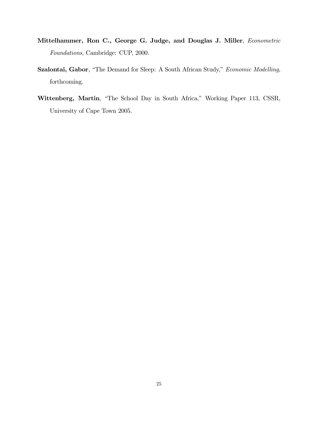- Mittelhammer, Ron C., George G. Judge, and Douglas J. Miller, Econometric Foundations, Cambridge: CUP, 2000.
- Szalontai, Gabor, "The Demand for Sleep: A South African Study," Economic Modelling, forthcoming.
- Wittenberg, Martin, "The School Day in South Africa," Working Paper 113, CSSR, University of Cape Town 2005.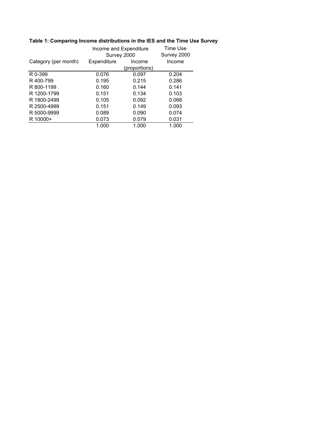|                      | Income and Expenditure<br>Survey 2000 |               | Time Use<br>Survey 2000 |
|----------------------|---------------------------------------|---------------|-------------------------|
| Category (per month) | Expenditure                           | Income        | Income                  |
|                      |                                       | (proportions) |                         |
| R 0-399              | 0.076                                 | 0.097         | 0.204                   |
| R400-799             | 0.195                                 | 0.215         | 0.286                   |
| R 800-1199           | 0.160                                 | 0.144         | 0.141                   |
| R 1200-1799          | 0.151                                 | 0.134         | 0.103                   |
| R 1800-2499          | 0.105                                 | 0.092         | 0.068                   |
| R 2500-4999          | 0.151                                 | 0.149         | 0.093                   |
| R 5000-9999          | 0.089                                 | 0.090         | 0.074                   |
| R 10000+             | 0.073                                 | 0.079         | 0.031                   |
|                      | 1.000                                 | 1.000         | 1.000                   |

# **Table 1: Comparing Income distributions in the IES and the Time Use Survey**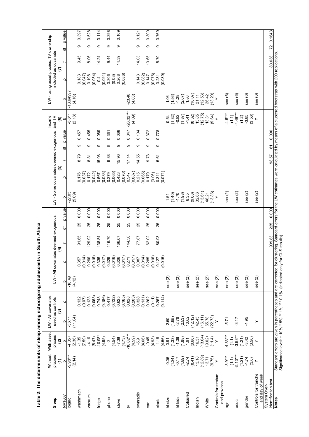| is a pie zi i i sicoloop gang a mangalayan i sing a mangalayan i si sicoloop gang a |                                 |                       |                                                                                                                                                                                                                                |                  |                    |                                                                                                                 | PJIITY IIIDOの III S1I                     |     |         |                                       |                  |       |              |        |                    |                    |                                        |        |    |         |
|-------------------------------------------------------------------------------------|---------------------------------|-----------------------|--------------------------------------------------------------------------------------------------------------------------------------------------------------------------------------------------------------------------------|------------------|--------------------|-----------------------------------------------------------------------------------------------------------------|-------------------------------------------|-----|---------|---------------------------------------|------------------|-------|--------------|--------|--------------------|--------------------|----------------------------------------|--------|----|---------|
|                                                                                     | Without                         | With asset            | LW - All covariates                                                                                                                                                                                                            |                  |                    |                                                                                                                 |                                           |     |         |                                       |                  |       |              | Income |                    |                    | LW - using asset proxies, TV ownership |        |    |         |
| Sleep                                                                               | proxies<br>$\widehat{\epsilon}$ | proxies<br>Q          | used as controls<br>ව                                                                                                                                                                                                          |                  |                    |                                                                                                                 | LW - All covariates deemed exogenous<br>E |     |         | LW - Some covariates deemed exogenous | ම                |       |              | and TV | ©                  |                    | included as covariate<br>ε             |        |    |         |
| $N = 1867$                                                                          | $\Omega$                        | م                     | م                                                                                                                                                                                                                              | $\overline{Q}$   | Ω                  | $\Omega$                                                                                                        |                                           | ৳   | p value | $\Omega$                              | Q                | ۳     | p value<br>₩ |        | $\Omega$           | م                  | Q                                      | F      | ৳  | p value |
| loginc                                                                              | $-9.98***$<br>(2.14)            | $-4.05+$<br>(2.36)    | (11.04)<br>$-36.11$                                                                                                                                                                                                            |                  | $-18.49$<br>(4.12) |                                                                                                                 |                                           |     |         | $-27.05$<br>(5.09)                    |                  |       |              |        | (2.18)<br>$-6.8**$ | 13.64997<br>(4.16) |                                        |        |    |         |
| washmach                                                                            |                                 | $-1.35$               |                                                                                                                                                                                                                                | 0.132            |                    | 0.357                                                                                                           | 91.65                                     | 25  | 0.000   |                                       | 0.176            | 8.79  | တ            | 0.457  |                    |                    | 0.183                                  | 9.45   | თ  | 0.397   |
| vacuum                                                                              |                                 | (7.59)<br>$-4.16$     |                                                                                                                                                                                                                                | 0.123<br>(0.07)  |                    | (0.014)<br>0.296                                                                                                | 129.92                                    | 25  | 0.000   |                                       | (0.037)<br>0.172 | 8.81  | σ            | 0.455  |                    |                    | (0.047)<br>0.198                       | 8.06   | თ  | 0.528   |
|                                                                                     |                                 | (8.47)                |                                                                                                                                                                                                                                | (0.063)          |                    | $\begin{array}{c} (0.016) \\ 0.335 \end{array}$                                                                 |                                           |     |         |                                       | (0.042)          |       |              |        |                    |                    | (0.054)                                |        |    |         |
| fridge                                                                              |                                 | $-10.98*$             |                                                                                                                                                                                                                                | 0.748            |                    |                                                                                                                 | 138.84                                    | 25  | 0.000   |                                       | 0.567            | 15.08 | ၜ            | 0.089  |                    |                    | 0.4                                    | 14.24  | ၜ  | 0.114   |
| phone                                                                               |                                 | (4.95)<br>ကို         |                                                                                                                                                                                                                                | (0.186)<br>0.417 |                    | $(0.017)$<br>0.329                                                                                              | 116.70                                    | 25  | 0.000   |                                       | (0.083)<br>0.379 | 9.88  | ၜ            | 0.361  |                    |                    | (0.091)<br>0.306                       | 9.44   | თ  | 0.398   |
|                                                                                     |                                 | (4.54)                |                                                                                                                                                                                                                                | (0.132)          |                    | $\begin{array}{c} (0.016) \\ 0.326 \end{array}$                                                                 |                                           |     |         |                                       | (0.065)          |       |              |        |                    |                    | (0.08)                                 |        |    |         |
| stove                                                                               |                                 | $-7.38$               |                                                                                                                                                                                                                                | 0.625            |                    |                                                                                                                 | 166.67                                    | 25  | 0.000   |                                       | 0.423            | 15.96 | ග            | 0.068  |                    |                    | 0.268                                  | 14.39  | თ  | 0.109   |
| ≥                                                                                   |                                 | $-18.02***$<br>(4.73) |                                                                                                                                                                                                                                | (0.165)<br>0.828 |                    | $\begin{array}{l} 6.017 \\ 0.271 \\ 0.017 \\ 0.000 \\ 0.004 \\ 0.014 \\ 0.004 \\ 0.014 \\ 0.009 \\ \end{array}$ | 144.50                                    | 25  | 0.000   |                                       | (0.076)<br>0.547 | 17.14 | თ            | 0.047  | $-26.32***$        | $-23.48$           | (0.086)                                |        |    |         |
|                                                                                     |                                 | (4.59)                |                                                                                                                                                                                                                                | (0.203)          |                    |                                                                                                                 |                                           |     |         |                                       | (0.087)          |       |              |        | (4.09)             | (4.63)             |                                        |        |    |         |
| ownradio                                                                            |                                 | $-5.9$                |                                                                                                                                                                                                                                | 0.328            |                    |                                                                                                                 | 77.87                                     | 25  | 0.000   |                                       | 0.215            | 14.55 | ၜ            | 0.104  |                    |                    | 0.143                                  | 14.03  | ၜ  | 0.121   |
|                                                                                     |                                 | (4.66)                |                                                                                                                                                                                                                                | (0.131)          |                    |                                                                                                                 |                                           |     |         |                                       | (0.065)          |       |              |        |                    |                    | (0.082)                                |        |    |         |
| ēS                                                                                  |                                 | $-0.45$               |                                                                                                                                                                                                                                | 0.262            |                    |                                                                                                                 | 62.02                                     | 25  | 0.000   |                                       | 0.179            | 9.73  | ၜ            | 0.372  |                    |                    | 0.147                                  | 10.65  | ၜ  | 0.300   |
|                                                                                     |                                 | (4.93)<br>$-1.18$     |                                                                                                                                                                                                                                | (0.11)<br>0.267  |                    | (0.016)<br>0.127                                                                                                | 80.93                                     | 25  | 0.000   |                                       | (0.06)<br>0.311  | 5.61  | ၜ            | 0.778  |                    |                    | (0.076)<br>0.281                       | 5.70   |    | 0.769   |
| clock                                                                               |                                 | (4.56)                |                                                                                                                                                                                                                                | (0.114)          |                    | (0.015)                                                                                                         |                                           |     |         |                                       | (0.071)          |       |              |        |                    |                    | (0.089)                                |        | တ  |         |
| hhsize                                                                              | $-0.06$                         | 0.91                  | 2.50                                                                                                                                                                                                                           |                  | see $(2)$          |                                                                                                                 |                                           |     |         | 1.51                                  |                  |       |              |        | 0.54               | 1.06               |                                        |        |    |         |
|                                                                                     | (1.34)                          | (1.33)                | (1.95)                                                                                                                                                                                                                         |                  |                    |                                                                                                                 |                                           |     |         | (1.40)                                |                  |       |              |        | (1.32)             | (1.56)             |                                        |        |    |         |
| hhkids                                                                              | $-0.17$                         | $-1.36$               | $-2.78$<br>(2.53)                                                                                                                                                                                                              |                  | see (2)            |                                                                                                                 |                                           |     |         | $-1.70$                               |                  |       |              |        | $-0.82$            |                    |                                        |        |    |         |
|                                                                                     | (1.89)                          | (1.88)                |                                                                                                                                                                                                                                |                  |                    |                                                                                                                 |                                           |     |         | (1.98)                                |                  |       |              |        | (1.87)             | $(2.07)$<br>1.86   |                                        |        |    |         |
| Coloured                                                                            | (8.41)<br>$-2.74$               | (8.66)                | (12.12)<br>10.62                                                                                                                                                                                                               |                  | see (2)            |                                                                                                                 |                                           |     |         | (9.68)<br>6.35                        |                  |       |              |        | (8.32)<br>$-1.41$  | (10.07)            |                                        |        |    |         |
| Indian                                                                              | 13.18                           | 16.31                 | 42.45                                                                                                                                                                                                                          |                  | see (2)            |                                                                                                                 |                                           |     |         | 32.66                                 |                  |       |              |        | 13.85              | 21.11              |                                        |        |    |         |
|                                                                                     | (12.89)                         | (13.04)               | (16.11)                                                                                                                                                                                                                        |                  |                    |                                                                                                                 |                                           |     |         | (13.61)                               |                  |       |              |        | (12.75)            | (12.53)            |                                        |        |    |         |
| White                                                                               | 13.71                           | $19.02 +$             | 65.78                                                                                                                                                                                                                          |                  | see (2)            |                                                                                                                 |                                           |     |         | 48.21                                 |                  |       |              |        | 13.31              | 26.42              |                                        |        |    |         |
|                                                                                     | (9.75)                          | (11,4)                | (22.73)                                                                                                                                                                                                                        |                  |                    |                                                                                                                 |                                           |     |         | (13.86)                               |                  |       |              |        | (9.64)             | (13.20)            |                                        |        |    |         |
| Controls for stratum<br>and province                                                | $\rightarrow$                   |                       | $\succ$                                                                                                                                                                                                                        |                  | see (2)            |                                                                                                                 |                                           |     |         | $\succ$                               |                  |       |              |        | $\left. \right.$   | $\succ$            |                                        |        |    |         |
| age                                                                                 | $-3.9***$                       | $-4.83***$            | $-5.71$                                                                                                                                                                                                                        |                  | see (2)            |                                                                                                                 |                                           |     |         | see (2)                               |                  |       |              |        | $-4.5***$          | see (6)            |                                        |        |    |         |
|                                                                                     | (1.1)                           | (1.1)                 |                                                                                                                                                                                                                                |                  |                    |                                                                                                                 |                                           |     |         |                                       |                  |       |              |        | (1.1)              |                    |                                        |        |    |         |
| educ                                                                                | $-5.13***$                      | $-3.98***$            | $-3.17$                                                                                                                                                                                                                        |                  | see $(2)$          |                                                                                                                 |                                           |     |         | see (2)                               |                  |       |              |        | $-4.49***$         | see (6)            |                                        |        |    |         |
|                                                                                     | (1.21)                          | (1.21)                |                                                                                                                                                                                                                                |                  |                    |                                                                                                                 |                                           |     |         |                                       |                  |       |              |        | (1.2)              |                    |                                        |        |    |         |
| gender                                                                              | 4.74<br>(3.6)                   | $-3.42$<br>(3.56)     | 4.95                                                                                                                                                                                                                           |                  | see (2)            |                                                                                                                 |                                           |     |         | see (2)                               |                  |       |              |        | $-3.85$<br>(3.56)  | see (6)            |                                        |        |    |         |
| Controls for tranche                                                                | $\rightarrow$                   | $\geq$                | $\succ$                                                                                                                                                                                                                        |                  |                    |                                                                                                                 |                                           |     |         |                                       |                  |       |              |        | $\left. \right.$   |                    |                                        |        |    |         |
| and day of week                                                                     |                                 |                       |                                                                                                                                                                                                                                |                  | see $(2)$          |                                                                                                                 |                                           |     |         | see (2)                               |                  |       |              |        |                    | see (6)            |                                        |        |    |         |
| System Over-                                                                        |                                 |                       |                                                                                                                                                                                                                                |                  |                    |                                                                                                                 |                                           |     |         |                                       |                  |       |              |        |                    |                    |                                        |        |    |         |
| identification test                                                                 |                                 |                       |                                                                                                                                                                                                                                |                  |                    |                                                                                                                 | 909.83                                    | 225 | 0.000   |                                       |                  | 98.57 | 87           | 0.090  |                    |                    |                                        | 83.638 | 72 | 0.1643  |
| <b>Notes</b>                                                                        |                                 |                       | Standard errors are given in parentheses and are corrected for busing upstand and and and and and and the form of the form of the film and the film and busing polical film and bolications of a publications of a publication |                  |                    |                                                                                                                 |                                           |     |         |                                       |                  |       |              |        |                    |                    |                                        |        |    |         |

schoolgoing adolescents in South Africa **Table 2: The determinants of sleep among schoolgoing adolescents in South Africa**  $\overline{a}$ j Table 2: The determinants of sleep

Significance level: + 10% \* 5% \*\* 1% \*\*\* 0.1% (indicated only for OLS results) Significance level: + 10% \* 5% \*\* 1% \*\*\* 0.1% (indicated only for OLS results)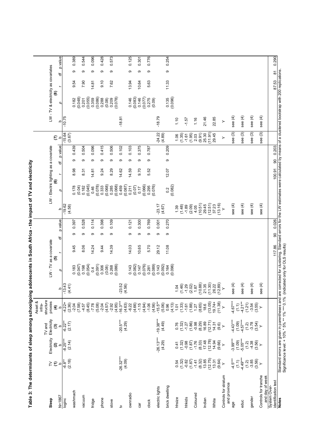| Table 3: The determinants of sleep among schoolgoing adolescents in South Africa - the impact of TV and electricity |                                                                                |                                                          |                                                          |                                          |                                   |                             |        |              |                    |                                       |        |   |                                                     |          |                                                                                                                                                                                         |       |   |         |
|---------------------------------------------------------------------------------------------------------------------|--------------------------------------------------------------------------------|----------------------------------------------------------|----------------------------------------------------------|------------------------------------------|-----------------------------------|-----------------------------|--------|--------------|--------------------|---------------------------------------|--------|---|-----------------------------------------------------|----------|-----------------------------------------------------------------------------------------------------------------------------------------------------------------------------------------|-------|---|---------|
|                                                                                                                     |                                                                                |                                                          |                                                          | Asset &<br>infra-                        |                                   |                             |        |              |                    |                                       |        |   |                                                     |          |                                                                                                                                                                                         |       |   |         |
| Sleep                                                                                                               | $\geq \epsilon$                                                                | Electricity                                              | Electricity<br>TV and                                    | structure<br>proxies                     |                                   | $LW$ - $TV$ as a covariate  |        |              |                    | LW - Electric lighting as a covariate |        |   |                                                     |          | LW-TV & electricity as covariates                                                                                                                                                       |       |   |         |
| $N = 1867$                                                                                                          | Δ                                                                              | $\widehat{\mathfrak{a}}$<br>م                            | $\frac{1}{2}$ රි                                         | $\widehat{\mathbf{f}}$ ه                 |                                   | $\widehat{\mathbf{e}}$<br>Q | H      | p value<br>₩ | م                  | ම<br>Q                                | H      | ₽ | $\widehat{\epsilon}$<br>$\mathbf \Omega$<br>p value | ء        | ම<br>Q                                                                                                                                                                                  | F     | ₽ | p value |
| loginc                                                                                                              | $-6.8**$<br>(2.18)                                                             | $-8.25***$<br>(2.14)                                     | $-6.22**$<br>(2.17)                                      | $-4.22 +$                                | $rac{b}{-13.43}$<br>(4.41)        |                             |        |              | $-19.62$<br>(4.58) |                                       |        |   | $-15.64$<br>(3.67)                                  | $-10.75$ |                                                                                                                                                                                         |       |   |         |
| washmach                                                                                                            |                                                                                |                                                          |                                                          | $(2.36)$<br>$7.58$<br>$(7.58)$<br>$4.57$ |                                   | (0.047)<br>0.183            | 9.45   | 0.397<br>თ   |                    | (0.04)<br>0.178                       | 8.98   | Φ | 0.439                                               |          | (0.048)<br>0.182                                                                                                                                                                        | 9.54  | တ | 0.389   |
| vacuum                                                                                                              |                                                                                |                                                          |                                                          |                                          |                                   | 0.198                       | 8.06   | 0.528<br>တ   |                    | 0.182                                 | 8.31   | တ | 0.504                                               |          | $\frac{0.201}{0.055}$                                                                                                                                                                   | 7.90  | တ | 0.544   |
| fridge                                                                                                              |                                                                                |                                                          |                                                          | (8.45)<br>$-7.78$                        |                                   | (0.054)<br>0.4              | 14.24  | 0.114<br>တ   |                    | (0.045)<br>0.46                       | 14.81  | ၜ | 0.096                                               |          | 0.359                                                                                                                                                                                   | 14.81 | ၜ | 0.096   |
| phone                                                                                                               |                                                                                |                                                          |                                                          | (5.08)<br>$-2.04$                        |                                   | (0.091)<br>0.306            | 9.44   | 0.398<br>ၜ   |                    | (0.078)<br>0.333                      | 9.24   | တ | 0.415                                               |          | (0.086)<br>0.288                                                                                                                                                                        | 9.10  | ၜ | 0.428   |
| stove                                                                                                               |                                                                                |                                                          |                                                          | $(4.57)$<br>$-2.92$                      |                                   | (0.08)<br>0.268             | 14.39  | 0.109<br>တ   |                    | (0.068)<br>0.285                      | 8.29   | ၜ | 0.506                                               |          | (0.08)<br>0.209                                                                                                                                                                         | 7.62  | σ | 0.573   |
| ₹                                                                                                                   | $-26.32***$                                                                    |                                                          | $-20.5***$                                               | $-16.3***$<br>(4.95)                     | 52<br>$-23.$                      | (0.086)                     |        |              |                    | (0.068)<br>0.459                      | 14.62  | თ | 0.102                                               | $-18.81$ | (0.078)                                                                                                                                                                                 |       |   |         |
| ownradio                                                                                                            | (4.09)                                                                         |                                                          | (4.29)                                                   | (4.63)<br>$-6.22$                        | (4.56)                            | 0.143                       | 14.03  | 0.121<br>თ   |                    | (0.087)<br>0.211                      | 14.59  | တ | 0.103                                               |          | 0.146                                                                                                                                                                                   | 13.94 | თ | 0.125   |
| Gar                                                                                                                 |                                                                                |                                                          |                                                          | (4.66)<br>$-1.15$                        |                                   | (0.082)<br>0.147            | 10.65  | 0.300<br>တ   |                    | (0.07)<br>0.17                        | 9.70   | တ | 0.375                                               |          | (0.083)<br>0.146                                                                                                                                                                        | 10.64 | တ | 0.301   |
| clock                                                                                                               |                                                                                |                                                          |                                                          | (4.94)<br>$-1.06$                        |                                   | (0.076)<br>0.281            | 5.70   | 0.769<br>σ   |                    | (0.066)<br>0.295                      | 5.52   | σ | 0.787                                               |          | (0.077)<br>0.275                                                                                                                                                                        | 5.63  | σ | 0.776   |
| electric lights                                                                                                     |                                                                                | $-26.13***$                                              | $-19.38***$                                              | $-15.5**$<br>(4.56)                      |                                   | (0.089)<br>0.143            | 29.12  | 0.001<br>တ   | $-23.17$           | (0.076)                               |        |   | $-24.22$                                            | $-18.79$ | (0.09)                                                                                                                                                                                  |       |   |         |
| brick dwelling                                                                                                      |                                                                                | (4.29)                                                   | (4.49)                                                   | $(5.06)$<br>0.96                         |                                   | (0.092)<br>0.164            | 11.08  | 0.270<br>თ   | (4.67)             | $\frac{2}{3}$                         | 12.07  | თ | (4.89)<br>0.209                                     |          | 0.135                                                                                                                                                                                   | 11.33 | თ | 0.254   |
| hhsize                                                                                                              |                                                                                |                                                          |                                                          |                                          |                                   | (0.096)                     |        |              | 1.39               | (0.082)                               |        |   | 1.06                                                | 1.10     | (0.096)                                                                                                                                                                                 |       |   |         |
| hhkids                                                                                                              |                                                                                |                                                          |                                                          |                                          |                                   |                             |        |              | (1.48)<br>$-1.89$  |                                       |        |   | (1.35)<br>$-1.61$                                   | $-1.57$  |                                                                                                                                                                                         |       |   |         |
| Coloured                                                                                                            | $0.54$ $0.32$ $0.32$ $0.54$ $0.54$ $0.54$                                      | $0.41$<br>$0.32$<br>$0.38$<br>$0.87$<br>$0.57$<br>$0.76$ | $0.76$<br>$0.32$<br>$1.27$<br>$0.86$<br>$0.98$<br>$0.99$ | $(4.13)\n1.07\n1.33\n1.60\n1.27\n1.27$   |                                   |                             |        |              | (2.09)<br>4.05     |                                       |        |   | $(1.95)$<br>2.03                                    | 1.16     |                                                                                                                                                                                         |       |   |         |
| Indian                                                                                                              | $(8.32)$<br>$13.85$<br>$(12.75)$                                               | $(8.33)$<br>$17.48$<br>$(12.78)$                         | (8.29)                                                   | $(8.65)$<br>18.6                         | $(10.88)$<br>$21.35$<br>$(11.30)$ |                             |        |              | (10.51)<br>29.45   |                                       |        |   | (9.91)<br>25.30                                     | 21.46    |                                                                                                                                                                                         |       |   |         |
| White                                                                                                               |                                                                                | 14.94                                                    | (12.71)<br>14.31                                         | (13.05)<br>$19.74 +$                     |                                   |                             |        |              | (12.51)            |                                       |        |   | (11.91)<br>29.45                                    | 22.85    |                                                                                                                                                                                         |       |   |         |
|                                                                                                                     | $13.31$<br>$(9.64)$<br>Y                                                       | (9.66)<br>$\rightarrow$                                  | (9.6)                                                    | (11.38)<br>$\geq$                        | 26.22<br>(12.89)                  |                             |        |              | 37.23<br>≻         |                                       |        |   | ≻                                                   | $\succ$  |                                                                                                                                                                                         |       |   |         |
| Controls for stratum<br>and province                                                                                |                                                                                |                                                          |                                                          |                                          |                                   |                             |        |              |                    |                                       |        |   |                                                     |          |                                                                                                                                                                                         |       |   |         |
| age                                                                                                                 | $-4.5***$                                                                      | $-3.99***$                                               | $-4.43***$                                               | $-4.67***$                               | $\widehat{f}$<br>see              |                             |        |              | see (4)            |                                       |        |   | see (3)                                             | see (4)  |                                                                                                                                                                                         |       |   |         |
| educ                                                                                                                | $-4.49***$<br>$(1.1)$                                                          | $(1.09)$<br>-5.05***                                     | $(1.09)$<br>4.57***                                      | $(1.1)$<br>$-4.21**$                     | $\widehat{f}$<br>see              |                             |        |              | see (4)            |                                       |        |   | see (3)                                             | see (4)  |                                                                                                                                                                                         |       |   |         |
| gender                                                                                                              | $(1.2)$<br>$(3.85)$<br>$(3.56)$                                                | $(1.2)$<br>$(3.36)$                                      | $(1, 2)$<br>$(3, 54)$<br>$(3, 54)$                       | $(1.21)$<br>$-3.54$<br>$(3.55)$          | $\widehat{f}$<br>see              |                             |        |              | see (4)            |                                       |        |   | see (3)                                             | see (4)  |                                                                                                                                                                                         |       |   |         |
|                                                                                                                     |                                                                                |                                                          |                                                          |                                          |                                   |                             |        |              |                    |                                       |        |   |                                                     |          |                                                                                                                                                                                         |       |   |         |
| Controls for tranche<br>and day of week                                                                             |                                                                                | $\succ$                                                  |                                                          |                                          | $\widehat{f}$<br>see              |                             |        |              | see (4)            |                                       |        |   | see (3)                                             | see (4)  |                                                                                                                                                                                         |       |   |         |
| identification test<br>System Over-                                                                                 |                                                                                |                                                          |                                                          |                                          |                                   |                             | 117.86 | 0.026<br>90  |                    |                                       | 100.91 | 8 | 0.203                                               |          |                                                                                                                                                                                         | 87.53 | 5 | 0.290   |
| <b>Notes</b>                                                                                                        | Significance level: + 10% * 5% ** 1% *** 0.1% (indicated only for OLS results) |                                                          |                                                          |                                          |                                   |                             |        |              |                    |                                       |        |   |                                                     |          | Standard errors are given in parentheses and are corrected for clustering. Standard errors for the LW estimates were calculated by means of a clustered bootstrap with 200 replications |       |   |         |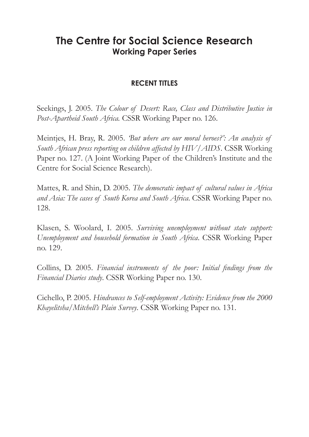# **The Centre for Social Science Research Working Paper Series**

# **RECENT TITLES**

Seekings, J. 2005. *The Colour of Desert: Race, Class and Distributive Justice in Post-Apartheid South Africa.* CSSR Working Paper no. 126.

Meintjes, H. Bray, R. 2005. *'But where are our moral heroes?': An analysis of South African press reporting on children affected by HIV/AIDS.* CSSR Working Paper no. 127. (A Joint Working Paper of the Children's Institute and the Centre for Social Science Research).

Mattes, R. and Shin, D. 2005. *The democratic impact of cultural values in Africa and Asia: The cases of South Korea and South Africa*. CSSR Working Paper no. 128.

Klasen, S. Woolard, I. 2005. *Surviving unemployment without state support: Unemployment and household formation in South Africa*. CSSR Working Paper no. 129.

Collins, D. 2005. *Financial instruments of the poor: Initial findings from the Financial Diaries study*. CSSR Working Paper no. 130.

Cichello, P. 2005. *Hindrances to Self-employment Activity: Evidence from the 2000 Khayelitsha/Mitchell's Plain Survey*. CSSR Working Paper no. 131.